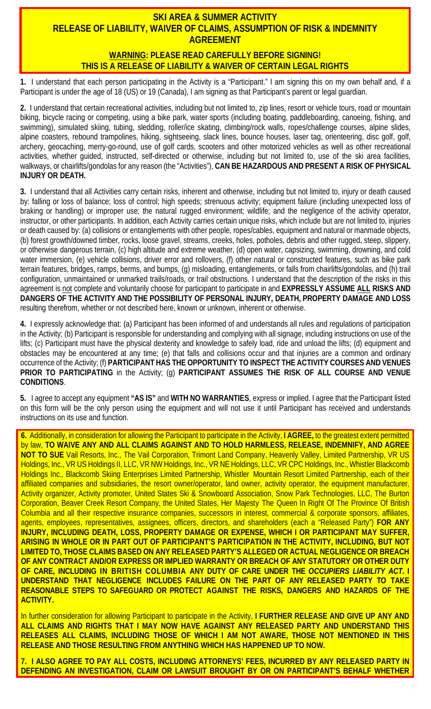## **SKI AREA & SUMMER ACTIVITY RELEASE OF LIABILITY, WAIVER OF CLAIMS, ASSUMPTION OF RISK & INDEMNITY AGREEMENT**

## **WARNING: PLEASE READ CAREFULLY BEFORE SIGNING! THIS IS A RELEASE OF LIABILITY & WAIVER OF CERTAIN LEGAL RIGHTS**

**1.** I understand that each person participating in the Activity is a "Participant." I am signing this on my own behalf and, if a Participant is under the age of 18 (US) or 19 (Canada), I am signing as that Participant's parent or legal guardian.

**2.** I understand that certain recreational activities, including but not limited to, zip lines, resort or vehicle tours, road or mountain biking, bicycle racing or competing, using a bike park, water sports (including boating, paddleboarding, canoeing, fishing, and swimming), simulated skiing, tubing, sledding, roller/ice skating, climbing/rock walls, ropes/challenge courses, alpine slides, alpine coasters, rebound trampolines, hiking, sightseeing, slack lines, bounce houses, laser tag, orienteering, disc golf, golf, archery, geocaching, merry-go-round, use of golf cards, scooters and other motorized vehicles as well as other recreational activities, whether guided, instructed, self-directed or otherwise, including but not limited to, use of the ski area facilities, walkways, or chairlifts/gondolas for any reason (the "Activities"), **CAN BE HAZARDOUS AND PRESENT A RISK OF PHYSICAL INJURY OR DEATH.**

**3.** I understand that all Activities carry certain risks, inherent and otherwise, including but not limited to, injury or death caused by: falling or loss of balance; loss of control; high speeds; strenuous activity; equipment failure (including unexpected loss of braking or handling) or improper use; the natural rugged environment; wildlife; and the negligence of the activity operator, instructor, or other participants. In addition, each Activity carries certain unique risks, which include but are not limited to, injuries or death caused by: (a) collisions or entanglements with other people, ropes/cables, equipment and natural or manmade objects, (b) forest growth/downed timber, rocks, loose gravel, streams, creeks, holes, potholes, debris and other rugged, steep, slippery, or otherwise dangerous terrain, (c) high altitude and extreme weather, (d) open water, capsizing, swimming, drowning, and cold water immersion, (e) vehicle collisions, driver error and rollovers, (f) other natural or constructed features, such as bike park terrain features, bridges, ramps, berms, and bumps, (g) misloading, entanglements, or falls from chairlifts/gondolas, and (h) trail configuration, unmaintained or unmarked trails/roads, or trail obstructions. I understand that the description of the risks in this agreement is not complete and voluntarily choose for participant to participate in and **EXPRESSLY ASSUME ALL RISKS AND DANGERS OF THE ACTIVITY AND THE POSSIBILITY OF PERSONAL INJURY, DEATH, PROPERTY DAMAGE AND LOSS** resulting therefrom, whether or not described here, known or unknown, inherent or otherwise.

**4.** I expressly acknowledge that: (a) Participant has been informed of and understands all rules and regulations of participation in the Activity; (b) Participant is responsible for understanding and complying with all signage, including instructions on use of the lifts; (c) Participant must have the physical dexterity and knowledge to safely load, ride and unload the lifts; (d) equipment and obstacles may be encountered at any time; (e) that falls and collisions occur and that injuries are a common and ordinary occurrence of the Activity; (f) **PARTICIPANT HAS THE OPPORTUNITY TO INSPECT THE ACTIVITY COURSES AND VENUES PRIOR TO PARTICIPATING** in the Activity; (g) **PARTICIPANT ASSUMES THE RISK OF ALL COURSE AND VENUE CONDITIONS**.

**5.** I agree to accept any equipment **"AS IS"** and **WITH NO WARRANTIES**, express or implied. I agree that the Participant listed on this form will be the only person using the equipment and will not use it until Participant has received and understands instructions on its use and function.

**6.** Additionally, in consideration for allowing the Participant to participate in the Activity, **I AGREE,** to the greatest extent permitted by law, **TO WAIVE ANY AND ALL CLAIMS AGAINST AND TO HOLD HARMLESS, RELEASE, INDEMNIFY, AND AGREE NOT TO SUE** Vail Resorts, Inc., The Vail Corporation, Trimont Land Company, Heavenly Valley, Limited Partnership, VR US Holdings, Inc., VR US Holdings II, LLC, VR NW Holdings, Inc., VR NE Holdings, LLC, VR CPC Holdings, Inc., Whistler Blackcomb Holdings Inc., Blackcomb Skiing Enterprises Limited Partnership, Whistler Mountain Resort Limited Partnership, each of their affiliated companies and subsidiaries, the resort owner/operator, land owner, activity operator, the equipment manufacturer, Activity organizer, Activity promoter, United States Ski & Snowboard Association, Snow Park Technologies, LLC, The Burton Corporation, Beaver Creek Resort Company, the United States, Her Majesty The Queen In Right Of The Province Of British Columbia and all their respective insurance companies, successors in interest, commercial & corporate sponsors, affiliates, agents, employees, representatives, assignees, officers, directors, and shareholders (each a "Released Party") **FOR ANY INJURY, INCLUDING DEATH, LOSS, PROPERTY DAMAGE OR EXPENSE, WHICH I OR PARTICIPANT MAY SUFFER, ARISING IN WHOLE OR IN PART OUT OF PARTICIPANT'S PARTICIPATION IN THE ACTIVITY, INCLUDING, BUT NOT LIMITED TO, THOSE CLAIMS BASED ON ANY RELEASED PARTY'S ALLEGED OR ACTUAL NEGLIGENCE OR BREACH OF ANY CONTRACT AND/OR EXPRESS OR IMPLIED WARRANTY OR BREACH OF ANY STATUTORY OR OTHER DUTY OF CARE, INCLUDING IN BRITISH COLUMBIA ANY DUTY OF CARE UNDER THE** *OCCUPIERS LIABILITY ACT***. I UNDERSTAND THAT NEGLIGENCE INCLUDES FAILURE ON THE PART OF ANY RELEASED PARTY TO TAKE REASONABLE STEPS TO SAFEGUARD OR PROTECT AGAINST THE RISKS, DANGERS AND HAZARDS OF THE ACTIVITY.**

In further consideration for allowing Participant to participate in the Activity, **I FURTHER RELEASE AND GIVE UP ANY AND ALL CLAIMS AND RIGHTS THAT I MAY NOW HAVE AGAINST ANY RELEASED PARTY AND UNDERSTAND THIS RELEASES ALL CLAIMS, INCLUDING THOSE OF WHICH I AM NOT AWARE, THOSE NOT MENTIONED IN THIS RELEASE AND THOSE RESULTING FROM ANYTHING WHICH HAS HAPPENED UP TO NOW.**

**7. I ALSO AGREE TO PAY ALL COSTS, INCLUDING ATTORNEYS' FEES, INCURRED BY ANY RELEASED PARTY IN DEFENDING AN INVESTIGATION, CLAIM OR LAWSUIT BROUGHT BY OR ON PARTICIPANT'S BEHALF WHETHER**